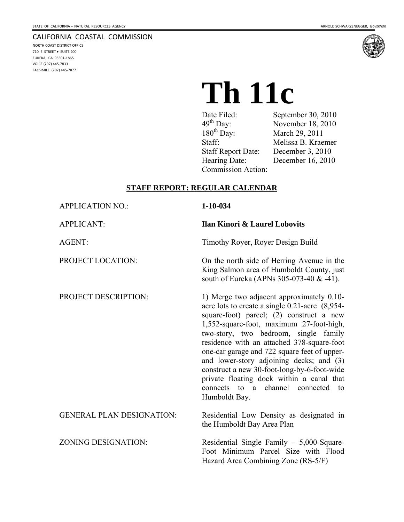NORTH COAST DISTRICT OFFICE 710 E STREET • SUITE 200 EUREKA, CA 95501‐1865 VOICE (707) 445‐7833 FACSIMILE (707) 445‐7877

#### CALIFORNIA COASTAL COMMISSION



# **Th 11c**

| Date Filed:               | September 30, 2010 |
|---------------------------|--------------------|
| $49^{\text{th}}$ Day:     | November 18, 2010  |
| $180^{th}$ Day:           | March 29, 2011     |
| Staff:                    | Melissa B. Kraemer |
| <b>Staff Report Date:</b> | December 3, 2010   |
| Hearing Date:             | December 16, 2010  |
| Commission Action:        |                    |

#### **STAFF REPORT: REGULAR CALENDAR**

| <b>APPLICATION NO.:</b>          | $1 - 10 - 034$                                                                                                                                                                                                                                                                                                                                                                                                                                                                                                                  |
|----------------------------------|---------------------------------------------------------------------------------------------------------------------------------------------------------------------------------------------------------------------------------------------------------------------------------------------------------------------------------------------------------------------------------------------------------------------------------------------------------------------------------------------------------------------------------|
| <b>APPLICANT:</b>                | <b>Ilan Kinori &amp; Laurel Lobovits</b>                                                                                                                                                                                                                                                                                                                                                                                                                                                                                        |
| <b>AGENT:</b>                    | Timothy Royer, Royer Design Build                                                                                                                                                                                                                                                                                                                                                                                                                                                                                               |
| PROJECT LOCATION:                | On the north side of Herring Avenue in the<br>King Salmon area of Humboldt County, just<br>south of Eureka (APNs 305-073-40 & -41).                                                                                                                                                                                                                                                                                                                                                                                             |
| PROJECT DESCRIPTION:             | 1) Merge two adjacent approximately 0.10-<br>acre lots to create a single 0.21-acre (8,954-<br>square-foot) parcel; (2) construct a new<br>1,552-square-foot, maximum 27-foot-high,<br>two-story, two bedroom, single family<br>residence with an attached 378-square-foot<br>one-car garage and 722 square feet of upper-<br>and lower-story adjoining decks; and (3)<br>construct a new 30-foot-long-by-6-foot-wide<br>private floating dock within a canal that<br>connects to a channel<br>connected<br>to<br>Humboldt Bay. |
| <b>GENERAL PLAN DESIGNATION:</b> | Residential Low Density as designated in<br>the Humboldt Bay Area Plan                                                                                                                                                                                                                                                                                                                                                                                                                                                          |
| <b>ZONING DESIGNATION:</b>       | Residential Single Family $-5,000$ -Square-<br>Foot Minimum Parcel Size with Flood<br>Hazard Area Combining Zone (RS-5/F)                                                                                                                                                                                                                                                                                                                                                                                                       |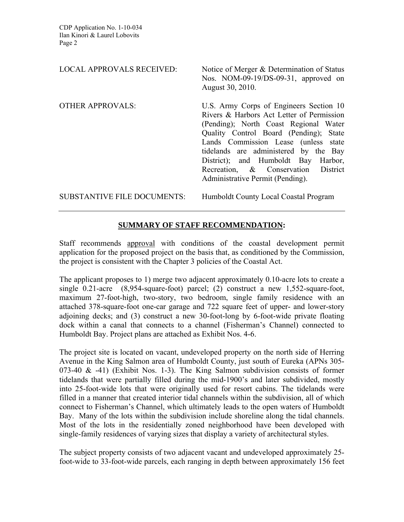| <b>LOCAL APPROVALS RECEIVED:</b>   | Notice of Merger & Determination of Status<br>Nos. NOM-09-19/DS-09-31, approved on<br>August 30, 2010.                                                                                                                                                                                                                                                                        |
|------------------------------------|-------------------------------------------------------------------------------------------------------------------------------------------------------------------------------------------------------------------------------------------------------------------------------------------------------------------------------------------------------------------------------|
| <b>OTHER APPROVALS:</b>            | U.S. Army Corps of Engineers Section 10<br>Rivers & Harbors Act Letter of Permission<br>(Pending); North Coast Regional Water<br>Quality Control Board (Pending);<br>State<br>Lands Commission Lease (unless state<br>tidelands are administered by the Bay<br>District); and Humboldt Bay Harbor,<br>Recreation, & Conservation District<br>Administrative Permit (Pending). |
| <b>SUBSTANTIVE FILE DOCUMENTS:</b> | Humboldt County Local Coastal Program                                                                                                                                                                                                                                                                                                                                         |

# **SUMMARY OF STAFF RECOMMENDATION:**

Staff recommends approval with conditions of the coastal development permit application for the proposed project on the basis that, as conditioned by the Commission, the project is consistent with the Chapter 3 policies of the Coastal Act.

The applicant proposes to 1) merge two adjacent approximately 0.10-acre lots to create a single 0.21-acre (8,954-square-foot) parcel; (2) construct a new 1,552-square-foot, maximum 27-foot-high, two-story, two bedroom, single family residence with an attached 378-square-foot one-car garage and 722 square feet of upper- and lower-story adjoining decks; and (3) construct a new 30-foot-long by 6-foot-wide private floating dock within a canal that connects to a channel (Fisherman's Channel) connected to Humboldt Bay. Project plans are attached as Exhibit Nos. 4-6.

The project site is located on vacant, undeveloped property on the north side of Herring Avenue in the King Salmon area of Humboldt County, just south of Eureka (APNs 305- 073-40  $\&$  -41) (Exhibit Nos. 1-3). The King Salmon subdivision consists of former tidelands that were partially filled during the mid-1900's and later subdivided, mostly into 25-foot-wide lots that were originally used for resort cabins. The tidelands were filled in a manner that created interior tidal channels within the subdivision, all of which connect to Fisherman's Channel, which ultimately leads to the open waters of Humboldt Bay. Many of the lots within the subdivision include shoreline along the tidal channels. Most of the lots in the residentially zoned neighborhood have been developed with single-family residences of varying sizes that display a variety of architectural styles.

The subject property consists of two adjacent vacant and undeveloped approximately 25 foot-wide to 33-foot-wide parcels, each ranging in depth between approximately 156 feet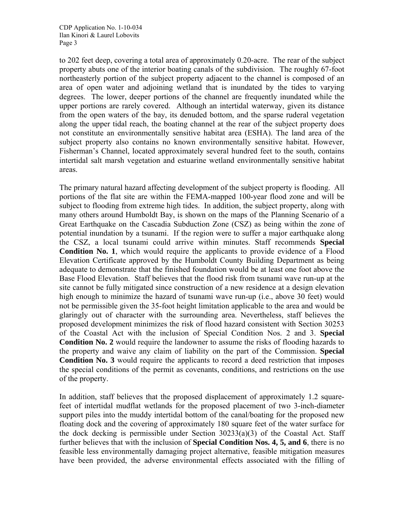to 202 feet deep, covering a total area of approximately 0.20-acre. The rear of the subject property abuts one of the interior boating canals of the subdivision. The roughly 67-foot northeasterly portion of the subject property adjacent to the channel is composed of an area of open water and adjoining wetland that is inundated by the tides to varying degrees. The lower, deeper portions of the channel are frequently inundated while the upper portions are rarely covered. Although an intertidal waterway, given its distance from the open waters of the bay, its denuded bottom, and the sparse ruderal vegetation along the upper tidal reach, the boating channel at the rear of the subject property does not constitute an environmentally sensitive habitat area (ESHA). The land area of the subject property also contains no known environmentally sensitive habitat. However, Fisherman's Channel, located approximately several hundred feet to the south, contains intertidal salt marsh vegetation and estuarine wetland environmentally sensitive habitat areas.

The primary natural hazard affecting development of the subject property is flooding. All portions of the flat site are within the FEMA-mapped 100-year flood zone and will be subject to flooding from extreme high tides. In addition, the subject property, along with many others around Humboldt Bay, is shown on the maps of the Planning Scenario of a Great Earthquake on the Cascadia Subduction Zone (CSZ) as being within the zone of potential inundation by a tsunami. If the region were to suffer a major earthquake along the CSZ, a local tsunami could arrive within minutes. Staff recommends **Special Condition No. 1**, which would require the applicants to provide evidence of a Flood Elevation Certificate approved by the Humboldt County Building Department as being adequate to demonstrate that the finished foundation would be at least one foot above the Base Flood Elevation. Staff believes that the flood risk from tsunami wave run-up at the site cannot be fully mitigated since construction of a new residence at a design elevation high enough to minimize the hazard of tsunami wave run-up (i.e., above 30 feet) would not be permissible given the 35-foot height limitation applicable to the area and would be glaringly out of character with the surrounding area. Nevertheless, staff believes the proposed development minimizes the risk of flood hazard consistent with Section 30253 of the Coastal Act with the inclusion of Special Condition Nos. 2 and 3. **Special Condition No. 2** would require the landowner to assume the risks of flooding hazards to the property and waive any claim of liability on the part of the Commission. **Special Condition No. 3** would require the applicants to record a deed restriction that imposes the special conditions of the permit as covenants, conditions, and restrictions on the use of the property.

In addition, staff believes that the proposed displacement of approximately 1.2 squarefeet of intertidal mudflat wetlands for the proposed placement of two 3-inch-diameter support piles into the muddy intertidal bottom of the canal/boating for the proposed new floating dock and the covering of approximately 180 square feet of the water surface for the dock decking is permissible under Section 30233(a)(3) of the Coastal Act. Staff further believes that with the inclusion of **Special Condition Nos. 4, 5, and 6**, there is no feasible less environmentally damaging project alternative, feasible mitigation measures have been provided, the adverse environmental effects associated with the filling of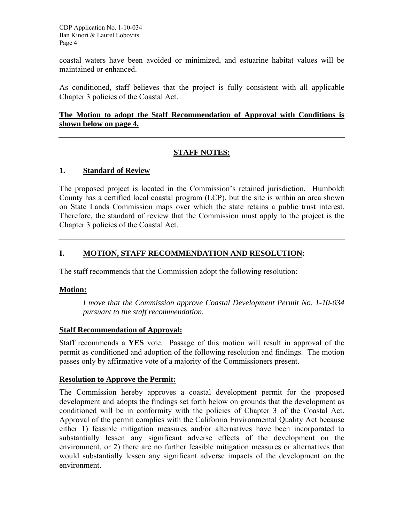coastal waters have been avoided or minimized, and estuarine habitat values will be maintained or enhanced.

As conditioned, staff believes that the project is fully consistent with all applicable Chapter 3 policies of the Coastal Act.

#### **The Motion to adopt the Staff Recommendation of Approval with Conditions is shown below on page 4.**

# **STAFF NOTES:**

#### **1. Standard of Review**

The proposed project is located in the Commission's retained jurisdiction. Humboldt County has a certified local coastal program (LCP), but the site is within an area shown on State Lands Commission maps over which the state retains a public trust interest. Therefore, the standard of review that the Commission must apply to the project is the Chapter 3 policies of the Coastal Act.

#### **I. MOTION, STAFF RECOMMENDATION AND RESOLUTION:**

The staff recommends that the Commission adopt the following resolution:

#### **Motion:**

*I move that the Commission approve Coastal Development Permit No. 1-10-034 pursuant to the staff recommendation.* 

#### **Staff Recommendation of Approval:**

Staff recommends a **YES** vote. Passage of this motion will result in approval of the permit as conditioned and adoption of the following resolution and findings. The motion passes only by affirmative vote of a majority of the Commissioners present.

#### **Resolution to Approve the Permit:**

The Commission hereby approves a coastal development permit for the proposed development and adopts the findings set forth below on grounds that the development as conditioned will be in conformity with the policies of Chapter 3 of the Coastal Act. Approval of the permit complies with the California Environmental Quality Act because either 1) feasible mitigation measures and/or alternatives have been incorporated to substantially lessen any significant adverse effects of the development on the environment, or 2) there are no further feasible mitigation measures or alternatives that would substantially lessen any significant adverse impacts of the development on the environment.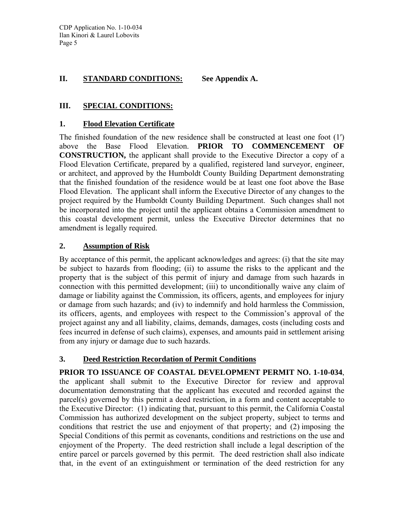# **II. STANDARD CONDITIONS: See Appendix A.**

# **III. SPECIAL CONDITIONS:**

#### **1. Flood Elevation Certificate**

The finished foundation of the new residence shall be constructed at least one foot (1′) above the Base Flood Elevation. **PRIOR TO COMMENCEMENT OF CONSTRUCTION,** the applicant shall provide to the Executive Director a copy of a Flood Elevation Certificate, prepared by a qualified, registered land surveyor, engineer, or architect, and approved by the Humboldt County Building Department demonstrating that the finished foundation of the residence would be at least one foot above the Base Flood Elevation. The applicant shall inform the Executive Director of any changes to the project required by the Humboldt County Building Department. Such changes shall not be incorporated into the project until the applicant obtains a Commission amendment to this coastal development permit, unless the Executive Director determines that no amendment is legally required.

# **2. Assumption of Risk**

By acceptance of this permit, the applicant acknowledges and agrees: (i) that the site may be subject to hazards from flooding; (ii) to assume the risks to the applicant and the property that is the subject of this permit of injury and damage from such hazards in connection with this permitted development; (iii) to unconditionally waive any claim of damage or liability against the Commission, its officers, agents, and employees for injury or damage from such hazards; and (iv) to indemnify and hold harmless the Commission, its officers, agents, and employees with respect to the Commission's approval of the project against any and all liability, claims, demands, damages, costs (including costs and fees incurred in defense of such claims), expenses, and amounts paid in settlement arising from any injury or damage due to such hazards.

# **3. Deed Restriction Recordation of Permit Conditions**

**PRIOR TO ISSUANCE OF COASTAL DEVELOPMENT PERMIT NO. 1-10-034**, the applicant shall submit to the Executive Director for review and approval documentation demonstrating that the applicant has executed and recorded against the parcel(s) governed by this permit a deed restriction, in a form and content acceptable to the Executive Director: (1) indicating that, pursuant to this permit, the California Coastal Commission has authorized development on the subject property, subject to terms and conditions that restrict the use and enjoyment of that property; and (2) imposing the Special Conditions of this permit as covenants, conditions and restrictions on the use and enjoyment of the Property. The deed restriction shall include a legal description of the entire parcel or parcels governed by this permit. The deed restriction shall also indicate that, in the event of an extinguishment or termination of the deed restriction for any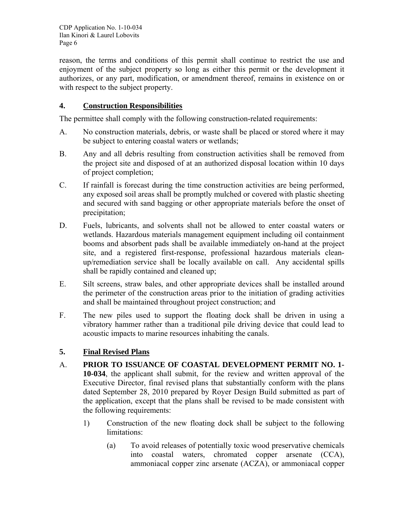reason, the terms and conditions of this permit shall continue to restrict the use and enjoyment of the subject property so long as either this permit or the development it authorizes, or any part, modification, or amendment thereof, remains in existence on or with respect to the subject property.

# **4. Construction Responsibilities**

The permittee shall comply with the following construction-related requirements:

- A. No construction materials, debris, or waste shall be placed or stored where it may be subject to entering coastal waters or wetlands;
- B. Any and all debris resulting from construction activities shall be removed from the project site and disposed of at an authorized disposal location within 10 days of project completion;
- C. If rainfall is forecast during the time construction activities are being performed, any exposed soil areas shall be promptly mulched or covered with plastic sheeting and secured with sand bagging or other appropriate materials before the onset of precipitation;
- D. Fuels, lubricants, and solvents shall not be allowed to enter coastal waters or wetlands. Hazardous materials management equipment including oil containment booms and absorbent pads shall be available immediately on-hand at the project site, and a registered first-response, professional hazardous materials cleanup/remediation service shall be locally available on call. Any accidental spills shall be rapidly contained and cleaned up;
- E. Silt screens, straw bales, and other appropriate devices shall be installed around the perimeter of the construction areas prior to the initiation of grading activities and shall be maintained throughout project construction; and
- F. The new piles used to support the floating dock shall be driven in using a vibratory hammer rather than a traditional pile driving device that could lead to acoustic impacts to marine resources inhabiting the canals.

#### **5. Final Revised Plans**

- A. **PRIOR TO ISSUANCE OF COASTAL DEVELOPMENT PERMIT NO. 1- 10-034**, the applicant shall submit, for the review and written approval of the Executive Director, final revised plans that substantially conform with the plans dated September 28, 2010 prepared by Royer Design Build submitted as part of the application, except that the plans shall be revised to be made consistent with the following requirements:
	- 1) Construction of the new floating dock shall be subject to the following limitations:
		- (a) To avoid releases of potentially toxic wood preservative chemicals into coastal waters, chromated copper arsenate (CCA), ammoniacal copper zinc arsenate (ACZA), or ammoniacal copper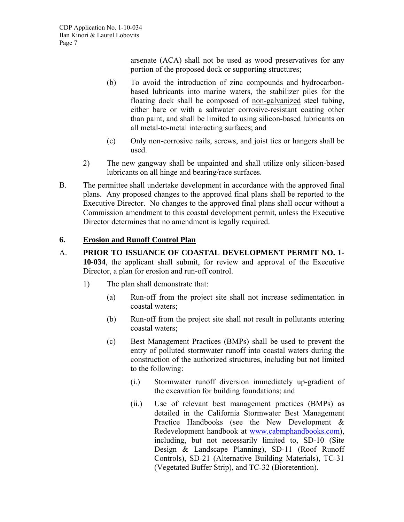arsenate (ACA) shall not be used as wood preservatives for any portion of the proposed dock or supporting structures;

- (b) To avoid the introduction of zinc compounds and hydrocarbonbased lubricants into marine waters, the stabilizer piles for the floating dock shall be composed of non-galvanized steel tubing, either bare or with a saltwater corrosive-resistant coating other than paint, and shall be limited to using silicon-based lubricants on all metal-to-metal interacting surfaces; and
- (c) Only non-corrosive nails, screws, and joist ties or hangers shall be used.
- 2) The new gangway shall be unpainted and shall utilize only silicon-based lubricants on all hinge and bearing/race surfaces.
- B. The permittee shall undertake development in accordance with the approved final plans. Any proposed changes to the approved final plans shall be reported to the Executive Director. No changes to the approved final plans shall occur without a Commission amendment to this coastal development permit, unless the Executive Director determines that no amendment is legally required.

# **6. Erosion and Runoff Control Plan**

- A. **PRIOR TO ISSUANCE OF COASTAL DEVELOPMENT PERMIT NO. 1- 10-034**, the applicant shall submit, for review and approval of the Executive Director, a plan for erosion and run-off control.
	- 1) The plan shall demonstrate that:
		- (a) Run-off from the project site shall not increase sedimentation in coastal waters;
		- (b) Run-off from the project site shall not result in pollutants entering coastal waters;
		- (c) Best Management Practices (BMPs) shall be used to prevent the entry of polluted stormwater runoff into coastal waters during the construction of the authorized structures, including but not limited to the following:
			- (i.) Stormwater runoff diversion immediately up-gradient of the excavation for building foundations; and
			- (ii.) Use of relevant best management practices (BMPs) as detailed in the California Stormwater Best Management Practice Handbooks (see the New Development & Redevelopment handbook at [www.cabmphandbooks.com\)](http://www.cabmphandbooks.com/), including, but not necessarily limited to, SD-10 (Site Design & Landscape Planning), SD-11 (Roof Runoff Controls), SD-21 (Alternative Building Materials), TC-31 (Vegetated Buffer Strip), and TC-32 (Bioretention).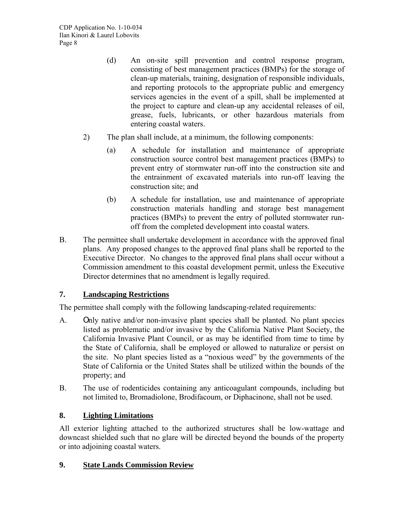- (d) An on-site spill prevention and control response program, consisting of best management practices (BMPs) for the storage of clean-up materials, training, designation of responsible individuals, and reporting protocols to the appropriate public and emergency services agencies in the event of a spill, shall be implemented at the project to capture and clean-up any accidental releases of oil, grease, fuels, lubricants, or other hazardous materials from entering coastal waters.
- 2) The plan shall include, at a minimum, the following components:
	- (a) A schedule for installation and maintenance of appropriate construction source control best management practices (BMPs) to prevent entry of stormwater run-off into the construction site and the entrainment of excavated materials into run-off leaving the construction site; and
	- (b) A schedule for installation, use and maintenance of appropriate construction materials handling and storage best management practices (BMPs) to prevent the entry of polluted stormwater runoff from the completed development into coastal waters.
- B. The permittee shall undertake development in accordance with the approved final plans. Any proposed changes to the approved final plans shall be reported to the Executive Director. No changes to the approved final plans shall occur without a Commission amendment to this coastal development permit, unless the Executive Director determines that no amendment is legally required.

# **7. Landscaping Restrictions**

The permittee shall comply with the following landscaping-related requirements:

- A. Only native and/or non-invasive plant species shall be planted. No plant species listed as problematic and/or invasive by the California Native Plant Society, the California Invasive Plant Council, or as may be identified from time to time by the State of California, shall be employed or allowed to naturalize or persist on the site. No plant species listed as a "noxious weed" by the governments of the State of California or the United States shall be utilized within the bounds of the property; and
- B. The use of rodenticides containing any anticoagulant compounds, including but not limited to, Bromadiolone, Brodifacoum, or Diphacinone, shall not be used.

#### **8. Lighting Limitations**

All exterior lighting attached to the authorized structures shall be low-wattage and downcast shielded such that no glare will be directed beyond the bounds of the property or into adjoining coastal waters.

#### **9. State Lands Commission Review**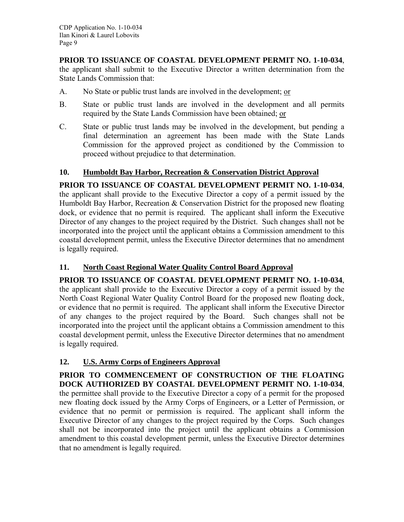**PRIOR TO ISSUANCE OF COASTAL DEVELOPMENT PERMIT NO. 1-10-034**, the applicant shall submit to the Executive Director a written determination from the State Lands Commission that:

- A. No State or public trust lands are involved in the development; or
- B. State or public trust lands are involved in the development and all permits required by the State Lands Commission have been obtained; or
- C. State or public trust lands may be involved in the development, but pending a final determination an agreement has been made with the State Lands Commission for the approved project as conditioned by the Commission to proceed without prejudice to that determination.

# **10. Humboldt Bay Harbor, Recreation & Conservation District Approval**

**PRIOR TO ISSUANCE OF COASTAL DEVELOPMENT PERMIT NO. 1-10-034**, the applicant shall provide to the Executive Director a copy of a permit issued by the Humboldt Bay Harbor, Recreation & Conservation District for the proposed new floating dock, or evidence that no permit is required. The applicant shall inform the Executive Director of any changes to the project required by the District. Such changes shall not be incorporated into the project until the applicant obtains a Commission amendment to this coastal development permit, unless the Executive Director determines that no amendment is legally required.

# **11. North Coast Regional Water Quality Control Board Approval**

**PRIOR TO ISSUANCE OF COASTAL DEVELOPMENT PERMIT NO. 1-10-034**, the applicant shall provide to the Executive Director a copy of a permit issued by the North Coast Regional Water Quality Control Board for the proposed new floating dock, or evidence that no permit is required. The applicant shall inform the Executive Director of any changes to the project required by the Board. Such changes shall not be incorporated into the project until the applicant obtains a Commission amendment to this coastal development permit, unless the Executive Director determines that no amendment is legally required.

# **12. U.S. Army Corps of Engineers Approval**

**PRIOR TO COMMENCEMENT OF CONSTRUCTION OF THE FLOATING DOCK AUTHORIZED BY COASTAL DEVELOPMENT PERMIT NO. 1-10-034**, the permittee shall provide to the Executive Director a copy of a permit for the proposed new floating dock issued by the Army Corps of Engineers, or a Letter of Permission, or evidence that no permit or permission is required. The applicant shall inform the Executive Director of any changes to the project required by the Corps. Such changes shall not be incorporated into the project until the applicant obtains a Commission amendment to this coastal development permit, unless the Executive Director determines that no amendment is legally required.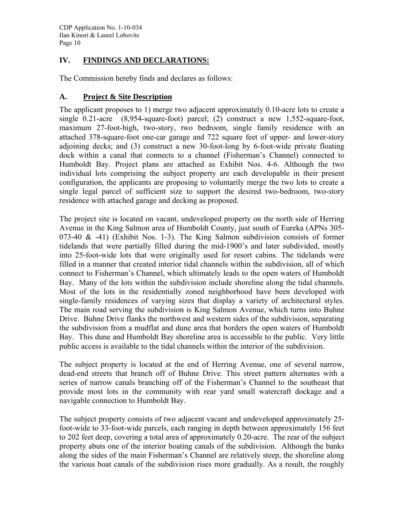# **IV. FINDINGS AND DECLARATIONS:**

The Commission hereby finds and declares as follows:

#### **A. Project & Site Description**

The applicant proposes to 1) merge two adjacent approximately 0.10-acre lots to create a single 0.21-acre (8,954-square-foot) parcel; (2) construct a new 1,552-square-foot, maximum 27-foot-high, two-story, two bedroom, single family residence with an attached 378-square-foot one-car garage and 722 square feet of upper- and lower-story adjoining decks; and (3) construct a new 30-foot-long by 6-foot-wide private floating dock within a canal that connects to a channel (Fisherman's Channel) connected to Humboldt Bay. Project plans are attached as Exhibit Nos. 4-6. Although the two individual lots comprising the subject property are each developable in their present configuration, the applicants are proposing to voluntarily merge the two lots to create a single legal parcel of sufficient size to support the desired two-bedroom, two-story residence with attached garage and decking as proposed.

The project site is located on vacant, undeveloped property on the north side of Herring Avenue in the King Salmon area of Humboldt County, just south of Eureka (APNs 305- 073-40  $\&$  -41) (Exhibit Nos. 1-3). The King Salmon subdivision consists of former tidelands that were partially filled during the mid-1900's and later subdivided, mostly into 25-foot-wide lots that were originally used for resort cabins. The tidelands were filled in a manner that created interior tidal channels within the subdivision, all of which connect to Fisherman's Channel, which ultimately leads to the open waters of Humboldt Bay. Many of the lots within the subdivision include shoreline along the tidal channels. Most of the lots in the residentially zoned neighborhood have been developed with single-family residences of varying sizes that display a variety of architectural styles. The main road serving the subdivision is King Salmon Avenue, which turns into Buhne Drive. Buhne Drive flanks the northwest and western sides of the subdivision, separating the subdivision from a mudflat and dune area that borders the open waters of Humboldt Bay. This dune and Humboldt Bay shoreline area is accessible to the public. Very little public access is available to the tidal channels within the interior of the subdivision.

The subject property is located at the end of Herring Avenue, one of several narrow, dead-end streets that branch off of Buhne Drive. This street pattern alternates with a series of narrow canals branching off of the Fisherman's Channel to the southeast that provide most lots in the community with rear yard small watercraft dockage and a navigable connection to Humboldt Bay.

The subject property consists of two adjacent vacant and undeveloped approximately 25 foot-wide to 33-foot-wide parcels, each ranging in depth between approximately 156 feet to 202 feet deep, covering a total area of approximately 0.20-acre. The rear of the subject property abuts one of the interior boating canals of the subdivision. Although the banks along the sides of the main Fisherman's Channel are relatively steep, the shoreline along the various boat canals of the subdivision rises more gradually. As a result, the roughly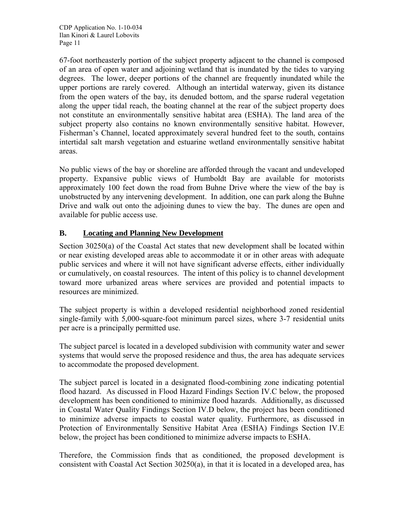67-foot northeasterly portion of the subject property adjacent to the channel is composed of an area of open water and adjoining wetland that is inundated by the tides to varying degrees. The lower, deeper portions of the channel are frequently inundated while the upper portions are rarely covered. Although an intertidal waterway, given its distance from the open waters of the bay, its denuded bottom, and the sparse ruderal vegetation along the upper tidal reach, the boating channel at the rear of the subject property does not constitute an environmentally sensitive habitat area (ESHA). The land area of the subject property also contains no known environmentally sensitive habitat. However, Fisherman's Channel, located approximately several hundred feet to the south, contains intertidal salt marsh vegetation and estuarine wetland environmentally sensitive habitat areas.

No public views of the bay or shoreline are afforded through the vacant and undeveloped property. Expansive public views of Humboldt Bay are available for motorists approximately 100 feet down the road from Buhne Drive where the view of the bay is unobstructed by any intervening development. In addition, one can park along the Buhne Drive and walk out onto the adjoining dunes to view the bay. The dunes are open and available for public access use.

# **B. Locating and Planning New Development**

Section 30250(a) of the Coastal Act states that new development shall be located within or near existing developed areas able to accommodate it or in other areas with adequate public services and where it will not have significant adverse effects, either individually or cumulatively, on coastal resources. The intent of this policy is to channel development toward more urbanized areas where services are provided and potential impacts to resources are minimized.

The subject property is within a developed residential neighborhood zoned residential single-family with 5,000-square-foot minimum parcel sizes, where 3-7 residential units per acre is a principally permitted use.

The subject parcel is located in a developed subdivision with community water and sewer systems that would serve the proposed residence and thus, the area has adequate services to accommodate the proposed development.

The subject parcel is located in a designated flood-combining zone indicating potential flood hazard. As discussed in Flood Hazard Findings Section IV.C below, the proposed development has been conditioned to minimize flood hazards. Additionally, as discussed in Coastal Water Quality Findings Section IV.D below, the project has been conditioned to minimize adverse impacts to coastal water quality. Furthermore, as discussed in Protection of Environmentally Sensitive Habitat Area (ESHA) Findings Section IV.E below, the project has been conditioned to minimize adverse impacts to ESHA.

Therefore, the Commission finds that as conditioned, the proposed development is consistent with Coastal Act Section 30250(a), in that it is located in a developed area, has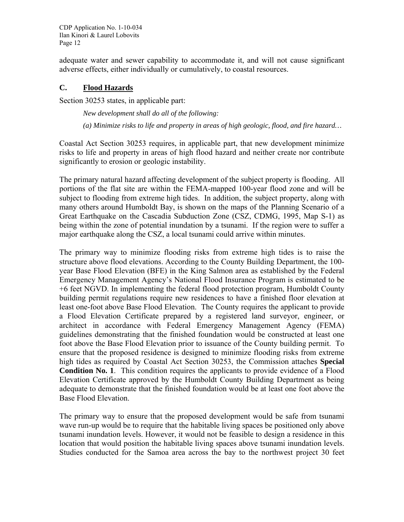adequate water and sewer capability to accommodate it, and will not cause significant adverse effects, either individually or cumulatively, to coastal resources.

#### **C. Flood Hazards**

Section 30253 states, in applicable part:

 *New development shall do all of the following: (a) Minimize risks to life and property in areas of high geologic, flood, and fire hazard…* 

Coastal Act Section 30253 requires, in applicable part, that new development minimize risks to life and property in areas of high flood hazard and neither create nor contribute significantly to erosion or geologic instability.

The primary natural hazard affecting development of the subject property is flooding. All portions of the flat site are within the FEMA-mapped 100-year flood zone and will be subject to flooding from extreme high tides. In addition, the subject property, along with many others around Humboldt Bay, is shown on the maps of the Planning Scenario of a Great Earthquake on the Cascadia Subduction Zone (CSZ, CDMG, 1995, Map S-1) as being within the zone of potential inundation by a tsunami. If the region were to suffer a major earthquake along the CSZ, a local tsunami could arrive within minutes.

The primary way to minimize flooding risks from extreme high tides is to raise the structure above flood elevations. According to the County Building Department, the 100 year Base Flood Elevation (BFE) in the King Salmon area as established by the Federal Emergency Management Agency's National Flood Insurance Program is estimated to be +6 feet NGVD. In implementing the federal flood protection program, Humboldt County building permit regulations require new residences to have a finished floor elevation at least one-foot above Base Flood Elevation. The County requires the applicant to provide a Flood Elevation Certificate prepared by a registered land surveyor, engineer, or architect in accordance with Federal Emergency Management Agency (FEMA) guidelines demonstrating that the finished foundation would be constructed at least one foot above the Base Flood Elevation prior to issuance of the County building permit. To ensure that the proposed residence is designed to minimize flooding risks from extreme high tides as required by Coastal Act Section 30253, the Commission attaches **Special Condition No. 1**. This condition requires the applicants to provide evidence of a Flood Elevation Certificate approved by the Humboldt County Building Department as being adequate to demonstrate that the finished foundation would be at least one foot above the Base Flood Elevation.

The primary way to ensure that the proposed development would be safe from tsunami wave run-up would be to require that the habitable living spaces be positioned only above tsunami inundation levels. However, it would not be feasible to design a residence in this location that would position the habitable living spaces above tsunami inundation levels. Studies conducted for the Samoa area across the bay to the northwest project 30 feet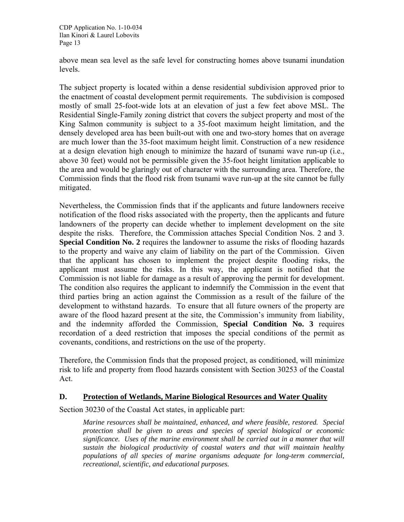above mean sea level as the safe level for constructing homes above tsunami inundation levels.

The subject property is located within a dense residential subdivision approved prior to the enactment of coastal development permit requirements. The subdivision is composed mostly of small 25-foot-wide lots at an elevation of just a few feet above MSL. The Residential Single-Family zoning district that covers the subject property and most of the King Salmon community is subject to a 35-foot maximum height limitation, and the densely developed area has been built-out with one and two-story homes that on average are much lower than the 35-foot maximum height limit. Construction of a new residence at a design elevation high enough to minimize the hazard of tsunami wave run-up (i.e., above 30 feet) would not be permissible given the 35-foot height limitation applicable to the area and would be glaringly out of character with the surrounding area. Therefore, the Commission finds that the flood risk from tsunami wave run-up at the site cannot be fully mitigated.

Nevertheless, the Commission finds that if the applicants and future landowners receive notification of the flood risks associated with the property, then the applicants and future landowners of the property can decide whether to implement development on the site despite the risks. Therefore, the Commission attaches Special Condition Nos. 2 and 3. **Special Condition No. 2** requires the landowner to assume the risks of flooding hazards to the property and waive any claim of liability on the part of the Commission. Given that the applicant has chosen to implement the project despite flooding risks, the applicant must assume the risks. In this way, the applicant is notified that the Commission is not liable for damage as a result of approving the permit for development. The condition also requires the applicant to indemnify the Commission in the event that third parties bring an action against the Commission as a result of the failure of the development to withstand hazards. To ensure that all future owners of the property are aware of the flood hazard present at the site, the Commission's immunity from liability, and the indemnity afforded the Commission, **Special Condition No. 3** requires recordation of a deed restriction that imposes the special conditions of the permit as covenants, conditions, and restrictions on the use of the property.

Therefore, the Commission finds that the proposed project, as conditioned, will minimize risk to life and property from flood hazards consistent with Section 30253 of the Coastal Act.

#### **D. Protection of Wetlands, Marine Biological Resources and Water Quality**

Section 30230 of the Coastal Act states, in applicable part:

*Marine resources shall be maintained, enhanced, and where feasible, restored. Special protection shall be given to areas and species of special biological or economic significance. Uses of the marine environment shall be carried out in a manner that will sustain the biological productivity of coastal waters and that will maintain healthy populations of all species of marine organisms adequate for long-term commercial, recreational, scientific, and educational purposes.*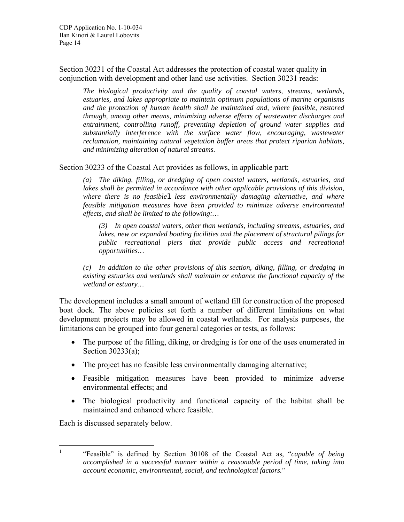Section 30231 of the Coastal Act addresses the protection of coastal water quality in conjunction with development and other land use activities. Section 30231 reads:

*The biological productivity and the quality of coastal waters, streams, wetlands, estuaries, and lakes appropriate to maintain optimum populations of marine organisms and the protection of human health shall be maintained and, where feasible, restored through, among other means, minimizing adverse effects of wastewater discharges and entrainment, controlling runoff, preventing depletion of ground water supplies and substantially interference with the surface water flow, encouraging, wastewater reclamation, maintaining natural vegetation buffer areas that protect riparian habitats, and minimizing alteration of natural streams.* 

Section 30233 of the Coastal Act provides as follows, in applicable part:

*(a) The diking, filling, or dredging of open coastal waters, wetlands, estuaries, and lakes shall be permitted in accordance with other applicable provisions of this division, where there is no feasible*[1](#page-13-0) *less environmentally damaging alternative, and where feasible mitigation measures have been provided to minimize adverse environmental effects, and shall be limited to the following:…* 

 *(3) In open coastal waters, other than wetlands, including streams, estuaries, and lakes, new or expanded boating facilities and the placement of structural pilings for public recreational piers that provide public access and recreational opportunities…* 

*(c) In addition to the other provisions of this section, diking, filling, or dredging in existing estuaries and wetlands shall maintain or enhance the functional capacity of the wetland or estuary…* 

The development includes a small amount of wetland fill for construction of the proposed boat dock. The above policies set forth a number of different limitations on what development projects may be allowed in coastal wetlands. For analysis purposes, the limitations can be grouped into four general categories or tests, as follows:

- The purpose of the filling, diking, or dredging is for one of the uses enumerated in Section 30233(a);
- The project has no feasible less environmentally damaging alternative;
- Feasible mitigation measures have been provided to minimize adverse environmental effects; and
- The biological productivity and functional capacity of the habitat shall be maintained and enhanced where feasible.

Each is discussed separately below.

<span id="page-13-0"></span> $\frac{1}{1}$  "Feasible" is defined by Section 30108 of the Coastal Act as, "*capable of being accomplished in a successful manner within a reasonable period of time, taking into account economic, environmental, social, and technological factors.*"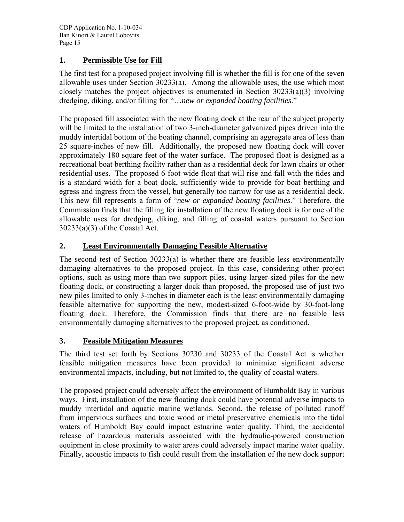# **1. Permissible Use for Fill**

The first test for a proposed project involving fill is whether the fill is for one of the seven allowable uses under Section 30233(a). Among the allowable uses, the use which most closely matches the project objectives is enumerated in Section 30233(a)(3) involving dredging, diking, and/or filling for "…*new or expanded boating facilities*."

The proposed fill associated with the new floating dock at the rear of the subject property will be limited to the installation of two 3-inch-diameter galvanized pipes driven into the muddy intertidal bottom of the boating channel, comprising an aggregate area of less than 25 square-inches of new fill. Additionally, the proposed new floating dock will cover approximately 180 square feet of the water surface. The proposed float is designed as a recreational boat berthing facility rather than as a residential deck for lawn chairs or other residential uses. The proposed 6-foot-wide float that will rise and fall with the tides and is a standard width for a boat dock, sufficiently wide to provide for boat berthing and egress and ingress from the vessel, but generally too narrow for use as a residential deck. This new fill represents a form of "*new or expanded boating facilities*." Therefore, the Commission finds that the filling for installation of the new floating dock is for one of the allowable uses for dredging, diking, and filling of coastal waters pursuant to Section  $30233(a)(3)$  of the Coastal Act.

# **2. Least Environmentally Damaging Feasible Alternative**

The second test of Section  $30233(a)$  is whether there are feasible less environmentally damaging alternatives to the proposed project. In this case, considering other project options, such as using more than two support piles, using larger-sized piles for the new floating dock, or constructing a larger dock than proposed, the proposed use of just two new piles limited to only 3-inches in diameter each is the least environmentally damaging feasible alternative for supporting the new, modest-sized 6-foot-wide by 30-foot-long floating dock. Therefore, the Commission finds that there are no feasible less environmentally damaging alternatives to the proposed project, as conditioned.

# **3. Feasible Mitigation Measures**

The third test set forth by Sections 30230 and 30233 of the Coastal Act is whether feasible mitigation measures have been provided to minimize significant adverse environmental impacts, including, but not limited to, the quality of coastal waters.

The proposed project could adversely affect the environment of Humboldt Bay in various ways. First, installation of the new floating dock could have potential adverse impacts to muddy intertidal and aquatic marine wetlands. Second, the release of polluted runoff from impervious surfaces and toxic wood or metal preservative chemicals into the tidal waters of Humboldt Bay could impact estuarine water quality. Third, the accidental release of hazardous materials associated with the hydraulic-powered construction equipment in close proximity to water areas could adversely impact marine water quality. Finally, acoustic impacts to fish could result from the installation of the new dock support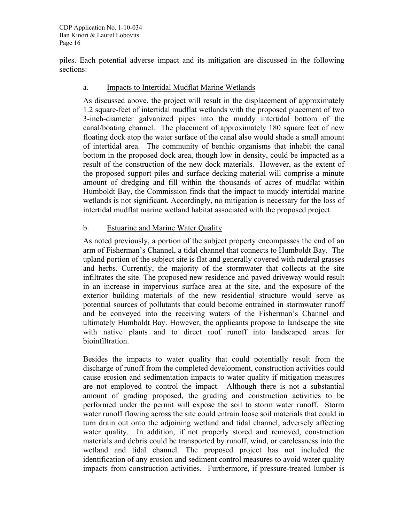piles. Each potential adverse impact and its mitigation are discussed in the following sections:

#### a. Impacts to Intertidal Mudflat Marine Wetlands

As discussed above, the project will result in the displacement of approximately 1.2 square-feet of intertidal mudflat wetlands with the proposed placement of two 3-inch-diameter galvanized pipes into the muddy intertidal bottom of the canal/boating channel. The placement of approximately 180 square feet of new floating dock atop the water surface of the canal also would shade a small amount of intertidal area. The community of benthic organisms that inhabit the canal bottom in the proposed dock area, though low in density, could be impacted as a result of the construction of the new dock materials. However, as the extent of the proposed support piles and surface decking material will comprise a minute amount of dredging and fill within the thousands of acres of mudflat within Humboldt Bay, the Commission finds that the impact to muddy intertidal marine wetlands is not significant. Accordingly, no mitigation is necessary for the loss of intertidal mudflat marine wetland habitat associated with the proposed project.

#### b. Estuarine and Marine Water Quality

As noted previously, a portion of the subject property encompasses the end of an arm of Fisherman's Channel, a tidal channel that connects to Humboldt Bay. The upland portion of the subject site is flat and generally covered with ruderal grasses and herbs. Currently, the majority of the stormwater that collects at the site infiltrates the site. The proposed new residence and paved driveway would result in an increase in impervious surface area at the site, and the exposure of the exterior building materials of the new residential structure would serve as potential sources of pollutants that could become entrained in stormwater runoff and be conveyed into the receiving waters of the Fisherman's Channel and ultimately Humboldt Bay. However, the applicants propose to landscape the site with native plants and to direct roof runoff into landscaped areas for bioinfiltration.

Besides the impacts to water quality that could potentially result from the discharge of runoff from the completed development, construction activities could cause erosion and sedimentation impacts to water quality if mitigation measures are not employed to control the impact. Although there is not a substantial amount of grading proposed, the grading and construction activities to be performed under the permit will expose the soil to storm water runoff. Storm water runoff flowing across the site could entrain loose soil materials that could in turn drain out onto the adjoining wetland and tidal channel, adversely affecting water quality. In addition, if not properly stored and removed, construction materials and debris could be transported by runoff, wind, or carelessness into the wetland and tidal channel. The proposed project has not included the identification of any erosion and sediment control measures to avoid water quality impacts from construction activities. Furthermore, if pressure-treated lumber is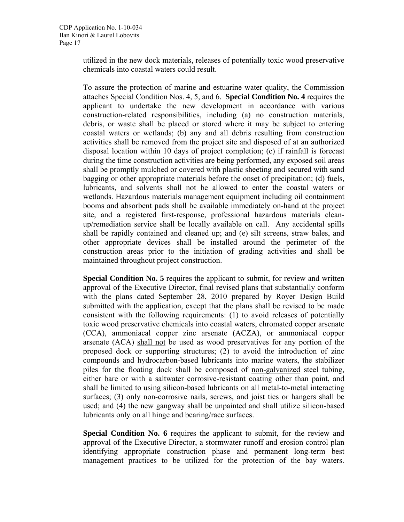utilized in the new dock materials, releases of potentially toxic wood preservative chemicals into coastal waters could result.

To assure the protection of marine and estuarine water quality, the Commission attaches Special Condition Nos. 4, 5, and 6. **Special Condition No. 4** requires the applicant to undertake the new development in accordance with various construction-related responsibilities, including (a) no construction materials, debris, or waste shall be placed or stored where it may be subject to entering coastal waters or wetlands; (b) any and all debris resulting from construction activities shall be removed from the project site and disposed of at an authorized disposal location within 10 days of project completion; (c) if rainfall is forecast during the time construction activities are being performed, any exposed soil areas shall be promptly mulched or covered with plastic sheeting and secured with sand bagging or other appropriate materials before the onset of precipitation; (d) fuels, lubricants, and solvents shall not be allowed to enter the coastal waters or wetlands. Hazardous materials management equipment including oil containment booms and absorbent pads shall be available immediately on-hand at the project site, and a registered first-response, professional hazardous materials cleanup/remediation service shall be locally available on call. Any accidental spills shall be rapidly contained and cleaned up; and (e) silt screens, straw bales, and other appropriate devices shall be installed around the perimeter of the construction areas prior to the initiation of grading activities and shall be maintained throughout project construction.

**Special Condition No. 5** requires the applicant to submit, for review and written approval of the Executive Director, final revised plans that substantially conform with the plans dated September 28, 2010 prepared by Royer Design Build submitted with the application, except that the plans shall be revised to be made consistent with the following requirements: (1) to avoid releases of potentially toxic wood preservative chemicals into coastal waters, chromated copper arsenate (CCA), ammoniacal copper zinc arsenate (ACZA), or ammoniacal copper arsenate (ACA) shall not be used as wood preservatives for any portion of the proposed dock or supporting structures; (2) to avoid the introduction of zinc compounds and hydrocarbon-based lubricants into marine waters, the stabilizer piles for the floating dock shall be composed of non-galvanized steel tubing, either bare or with a saltwater corrosive-resistant coating other than paint, and shall be limited to using silicon-based lubricants on all metal-to-metal interacting surfaces; (3) only non-corrosive nails, screws, and joist ties or hangers shall be used; and (4) the new gangway shall be unpainted and shall utilize silicon-based lubricants only on all hinge and bearing/race surfaces.

**Special Condition No. 6** requires the applicant to submit, for the review and approval of the Executive Director, a stormwater runoff and erosion control plan identifying appropriate construction phase and permanent long-term best management practices to be utilized for the protection of the bay waters.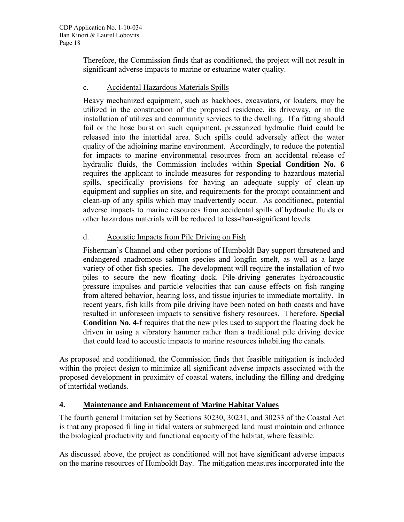Therefore, the Commission finds that as conditioned, the project will not result in significant adverse impacts to marine or estuarine water quality.

#### c. Accidental Hazardous Materials Spills

Heavy mechanized equipment, such as backhoes, excavators, or loaders, may be utilized in the construction of the proposed residence, its driveway, or in the installation of utilizes and community services to the dwelling. If a fitting should fail or the hose burst on such equipment, pressurized hydraulic fluid could be released into the intertidal area. Such spills could adversely affect the water quality of the adjoining marine environment. Accordingly, to reduce the potential for impacts to marine environmental resources from an accidental release of hydraulic fluids, the Commission includes within **Special Condition No. 6** requires the applicant to include measures for responding to hazardous material spills, specifically provisions for having an adequate supply of clean-up equipment and supplies on site, and requirements for the prompt containment and clean-up of any spills which may inadvertently occur. As conditioned, potential adverse impacts to marine resources from accidental spills of hydraulic fluids or other hazardous materials will be reduced to less-than-significant levels.

# d. Acoustic Impacts from Pile Driving on Fish

Fisherman's Channel and other portions of Humboldt Bay support threatened and endangered anadromous salmon species and longfin smelt, as well as a large variety of other fish species. The development will require the installation of two piles to secure the new floating dock. Pile-driving generates hydroacoustic pressure impulses and particle velocities that can cause effects on fish ranging from altered behavior, hearing loss, and tissue injuries to immediate mortality. In recent years, fish kills from pile driving have been noted on both coasts and have resulted in unforeseen impacts to sensitive fishery resources. Therefore, **Special Condition No. 4**-**f** requires that the new piles used to support the floating dock be driven in using a vibratory hammer rather than a traditional pile driving device that could lead to acoustic impacts to marine resources inhabiting the canals.

As proposed and conditioned, the Commission finds that feasible mitigation is included within the project design to minimize all significant adverse impacts associated with the proposed development in proximity of coastal waters, including the filling and dredging of intertidal wetlands.

# **4. Maintenance and Enhancement of Marine Habitat Values**

The fourth general limitation set by Sections 30230, 30231, and 30233 of the Coastal Act is that any proposed filling in tidal waters or submerged land must maintain and enhance the biological productivity and functional capacity of the habitat, where feasible.

As discussed above, the project as conditioned will not have significant adverse impacts on the marine resources of Humboldt Bay. The mitigation measures incorporated into the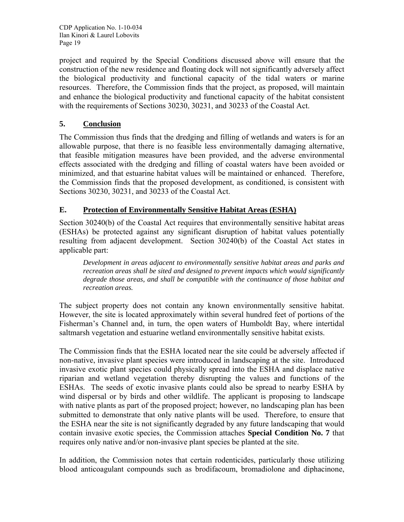project and required by the Special Conditions discussed above will ensure that the construction of the new residence and floating dock will not significantly adversely affect the biological productivity and functional capacity of the tidal waters or marine resources. Therefore, the Commission finds that the project, as proposed, will maintain and enhance the biological productivity and functional capacity of the habitat consistent with the requirements of Sections 30230, 30231, and 30233 of the Coastal Act.

# **5. Conclusion**

The Commission thus finds that the dredging and filling of wetlands and waters is for an allowable purpose, that there is no feasible less environmentally damaging alternative, that feasible mitigation measures have been provided, and the adverse environmental effects associated with the dredging and filling of coastal waters have been avoided or minimized, and that estuarine habitat values will be maintained or enhanced. Therefore, the Commission finds that the proposed development, as conditioned, is consistent with Sections 30230, 30231, and 30233 of the Coastal Act.

#### **E. Protection of Environmentally Sensitive Habitat Areas (ESHA)**

Section 30240(b) of the Coastal Act requires that environmentally sensitive habitat areas (ESHAs) be protected against any significant disruption of habitat values potentially resulting from adjacent development. Section 30240(b) of the Coastal Act states in applicable part:

*Development in areas adjacent to environmentally sensitive habitat areas and parks and recreation areas shall be sited and designed to prevent impacts which would significantly degrade those areas, and shall be compatible with the continuance of those habitat and recreation areas.* 

The subject property does not contain any known environmentally sensitive habitat. However, the site is located approximately within several hundred feet of portions of the Fisherman's Channel and, in turn, the open waters of Humboldt Bay, where intertidal saltmarsh vegetation and estuarine wetland environmentally sensitive habitat exists.

The Commission finds that the ESHA located near the site could be adversely affected if non-native, invasive plant species were introduced in landscaping at the site. Introduced invasive exotic plant species could physically spread into the ESHA and displace native riparian and wetland vegetation thereby disrupting the values and functions of the ESHAs. The seeds of exotic invasive plants could also be spread to nearby ESHA by wind dispersal or by birds and other wildlife. The applicant is proposing to landscape with native plants as part of the proposed project; however, no landscaping plan has been submitted to demonstrate that only native plants will be used. Therefore, to ensure that the ESHA near the site is not significantly degraded by any future landscaping that would contain invasive exotic species, the Commission attaches **Special Condition No. 7** that requires only native and/or non-invasive plant species be planted at the site.

In addition, the Commission notes that certain rodenticides, particularly those utilizing blood anticoagulant compounds such as brodifacoum, bromadiolone and diphacinone,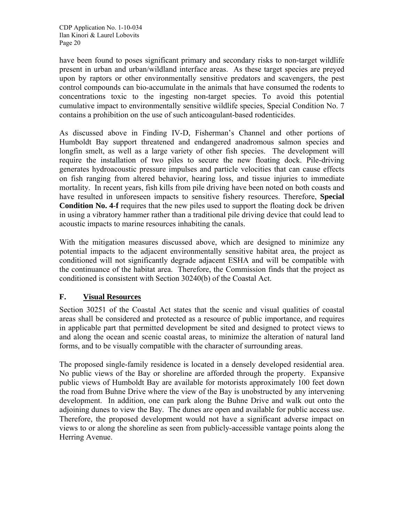have been found to poses significant primary and secondary risks to non-target wildlife present in urban and urban/wildland interface areas. As these target species are preyed upon by raptors or other environmentally sensitive predators and scavengers, the pest control compounds can bio-accumulate in the animals that have consumed the rodents to concentrations toxic to the ingesting non-target species. To avoid this potential cumulative impact to environmentally sensitive wildlife species, Special Condition No. 7 contains a prohibition on the use of such anticoagulant-based rodenticides.

As discussed above in Finding IV-D, Fisherman's Channel and other portions of Humboldt Bay support threatened and endangered anadromous salmon species and longfin smelt, as well as a large variety of other fish species. The development will require the installation of two piles to secure the new floating dock. Pile-driving generates hydroacoustic pressure impulses and particle velocities that can cause effects on fish ranging from altered behavior, hearing loss, and tissue injuries to immediate mortality. In recent years, fish kills from pile driving have been noted on both coasts and have resulted in unforeseen impacts to sensitive fishery resources. Therefore, **Special Condition No. 4**-**f** requires that the new piles used to support the floating dock be driven in using a vibratory hammer rather than a traditional pile driving device that could lead to acoustic impacts to marine resources inhabiting the canals.

With the mitigation measures discussed above, which are designed to minimize any potential impacts to the adjacent environmentally sensitive habitat area, the project as conditioned will not significantly degrade adjacent ESHA and will be compatible with the continuance of the habitat area. Therefore, the Commission finds that the project as conditioned is consistent with Section 30240(b) of the Coastal Act.

# **F. Visual Resources**

Section 30251 of the Coastal Act states that the scenic and visual qualities of coastal areas shall be considered and protected as a resource of public importance, and requires in applicable part that permitted development be sited and designed to protect views to and along the ocean and scenic coastal areas, to minimize the alteration of natural land forms, and to be visually compatible with the character of surrounding areas.

The proposed single-family residence is located in a densely developed residential area. No public views of the Bay or shoreline are afforded through the property. Expansive public views of Humboldt Bay are available for motorists approximately 100 feet down the road from Buhne Drive where the view of the Bay is unobstructed by any intervening development. In addition, one can park along the Buhne Drive and walk out onto the adjoining dunes to view the Bay. The dunes are open and available for public access use. Therefore, the proposed development would not have a significant adverse impact on views to or along the shoreline as seen from publicly-accessible vantage points along the Herring Avenue.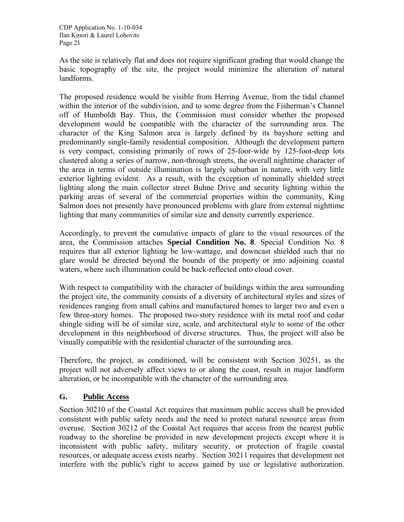As the site is relatively flat and does not require significant grading that would change the basic topography of the site, the project would minimize the alteration of natural landforms.

The proposed residence would be visible from Herring Avenue, from the tidal channel within the interior of the subdivision, and to some degree from the Fisherman's Channel off of Humboldt Bay. Thus, the Commission must consider whether the proposed development would be compatible with the character of the surrounding area. The character of the King Salmon area is largely defined by its bayshore setting and predominantly single-family residential composition. Although the development pattern is very compact, consisting primarily of rows of 25-foor-wide by 125-foot-deep lots clustered along a series of narrow, non-through streets, the overall nighttime character of the area in terms of outside illumination is largely suburban in nature, with very little exterior lighting evident. As a result, with the exception of nominally shielded street lighting along the main collector street Buhne Drive and security lighting within the parking areas of several of the commercial properties within the community, King Salmon does not presently have pronounced problems with glare from external nighttime lighting that many communities of similar size and density currently experience.

Accordingly, to prevent the cumulative impacts of glare to the visual resources of the area, the Commission attaches **Special Condition No. 8**. Special Condition No. 8 requires that all exterior lighting be low-wattage, and downcast shielded such that no glare would be directed beyond the bounds of the property or into adjoining coastal waters, where such illumination could be back-reflected onto cloud cover.

With respect to compatibility with the character of buildings within the area surrounding the project site, the community consists of a diversity of architectural styles and sizes of residences ranging from small cabins and manufactured homes to larger two and even a few three-story homes. The proposed two-story residence with its metal roof and cedar shingle siding will be of similar size, scale, and architectural style to some of the other development in this neighborhood of diverse structures. Thus, the project will also be visually compatible with the residential character of the surrounding area.

Therefore, the project, as conditioned, will be consistent with Section 30251, as the project will not adversely affect views to or along the coast, result in major landform alteration, or be incompatible with the character of the surrounding area.

# **G. Public Access**

Section 30210 of the Coastal Act requires that maximum public access shall be provided consistent with public safety needs and the need to protect natural resource areas from overuse. Section 30212 of the Coastal Act requires that access from the nearest public roadway to the shoreline be provided in new development projects except where it is inconsistent with public safety, military security, or protection of fragile coastal resources, or adequate access exists nearby. Section 30211 requires that development not interfere with the public's right to access gained by use or legislative authorization.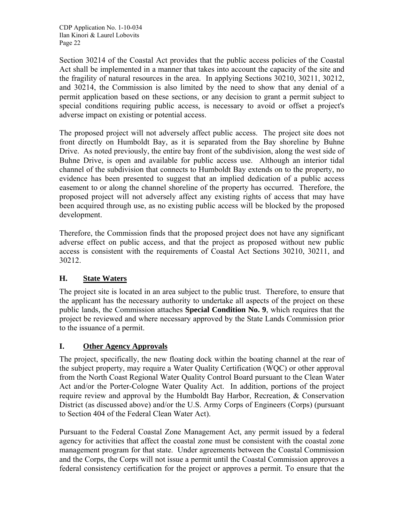Section 30214 of the Coastal Act provides that the public access policies of the Coastal Act shall be implemented in a manner that takes into account the capacity of the site and the fragility of natural resources in the area. In applying Sections 30210, 30211, 30212, and 30214, the Commission is also limited by the need to show that any denial of a permit application based on these sections, or any decision to grant a permit subject to special conditions requiring public access, is necessary to avoid or offset a project's adverse impact on existing or potential access.

The proposed project will not adversely affect public access. The project site does not front directly on Humboldt Bay, as it is separated from the Bay shoreline by Buhne Drive. As noted previously, the entire bay front of the subdivision, along the west side of Buhne Drive, is open and available for public access use. Although an interior tidal channel of the subdivision that connects to Humboldt Bay extends on to the property, no evidence has been presented to suggest that an implied dedication of a public access easement to or along the channel shoreline of the property has occurred. Therefore, the proposed project will not adversely affect any existing rights of access that may have been acquired through use, as no existing public access will be blocked by the proposed development.

Therefore, the Commission finds that the proposed project does not have any significant adverse effect on public access, and that the project as proposed without new public access is consistent with the requirements of Coastal Act Sections 30210, 30211, and 30212.

# **H. State Waters**

The project site is located in an area subject to the public trust. Therefore, to ensure that the applicant has the necessary authority to undertake all aspects of the project on these public lands, the Commission attaches **Special Condition No. 9**, which requires that the project be reviewed and where necessary approved by the State Lands Commission prior to the issuance of a permit.

#### **I. Other Agency Approvals**

The project, specifically, the new floating dock within the boating channel at the rear of the subject property, may require a Water Quality Certification (WQC) or other approval from the North Coast Regional Water Quality Control Board pursuant to the Clean Water Act and/or the Porter-Cologne Water Quality Act. In addition, portions of the project require review and approval by the Humboldt Bay Harbor, Recreation, & Conservation District (as discussed above) and/or the U.S. Army Corps of Engineers (Corps) (pursuant to Section 404 of the Federal Clean Water Act).

Pursuant to the Federal Coastal Zone Management Act, any permit issued by a federal agency for activities that affect the coastal zone must be consistent with the coastal zone management program for that state. Under agreements between the Coastal Commission and the Corps, the Corps will not issue a permit until the Coastal Commission approves a federal consistency certification for the project or approves a permit. To ensure that the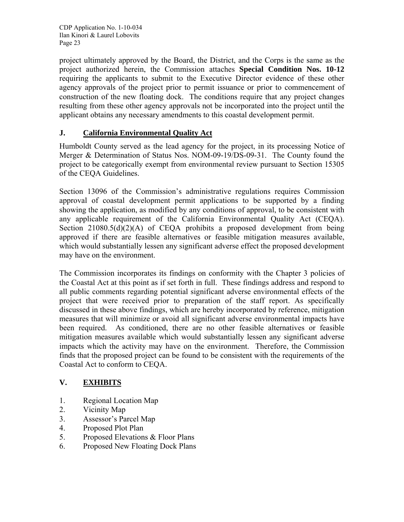project ultimately approved by the Board, the District, and the Corps is the same as the project authorized herein, the Commission attaches **Special Condition Nos. 10-12** requiring the applicants to submit to the Executive Director evidence of these other agency approvals of the project prior to permit issuance or prior to commencement of construction of the new floating dock. The conditions require that any project changes resulting from these other agency approvals not be incorporated into the project until the applicant obtains any necessary amendments to this coastal development permit.

# **J. California Environmental Quality Act**

Humboldt County served as the lead agency for the project, in its processing Notice of Merger & Determination of Status Nos. NOM-09-19/DS-09-31. The County found the project to be categorically exempt from environmental review pursuant to Section 15305 of the CEQA Guidelines.

Section 13096 of the Commission's administrative regulations requires Commission approval of coastal development permit applications to be supported by a finding showing the application, as modified by any conditions of approval, to be consistent with any applicable requirement of the California Environmental Quality Act (CEQA). Section  $21080.5(d)(2)(A)$  of CEQA prohibits a proposed development from being approved if there are feasible alternatives or feasible mitigation measures available, which would substantially lessen any significant adverse effect the proposed development may have on the environment.

The Commission incorporates its findings on conformity with the Chapter 3 policies of the Coastal Act at this point as if set forth in full. These findings address and respond to all public comments regarding potential significant adverse environmental effects of the project that were received prior to preparation of the staff report. As specifically discussed in these above findings, which are hereby incorporated by reference, mitigation measures that will minimize or avoid all significant adverse environmental impacts have been required. As conditioned, there are no other feasible alternatives or feasible mitigation measures available which would substantially lessen any significant adverse impacts which the activity may have on the environment. Therefore, the Commission finds that the proposed project can be found to be consistent with the requirements of the Coastal Act to conform to CEQA.

# **V. EXHIBITS**

- 1. Regional Location Map
- 2. Vicinity Map
- 3. Assessor's Parcel Map
- 4. Proposed Plot Plan
- 5. Proposed Elevations & Floor Plans
- 6. Proposed New Floating Dock Plans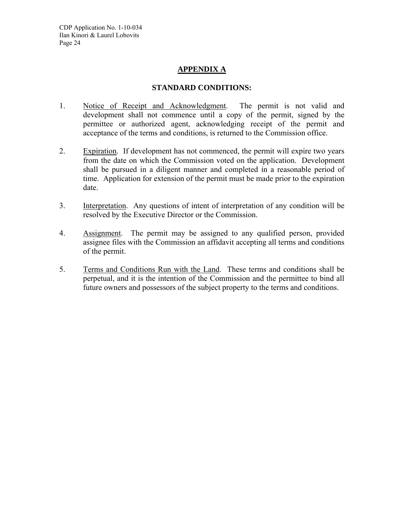# **APPENDIX A**

#### **STANDARD CONDITIONS:**

- 1. Notice of Receipt and Acknowledgment. The permit is not valid and development shall not commence until a copy of the permit, signed by the permittee or authorized agent, acknowledging receipt of the permit and acceptance of the terms and conditions, is returned to the Commission office.
- 2. Expiration. If development has not commenced, the permit will expire two years from the date on which the Commission voted on the application. Development shall be pursued in a diligent manner and completed in a reasonable period of time. Application for extension of the permit must be made prior to the expiration date.
- 3. Interpretation. Any questions of intent of interpretation of any condition will be resolved by the Executive Director or the Commission.
- 4. Assignment. The permit may be assigned to any qualified person, provided assignee files with the Commission an affidavit accepting all terms and conditions of the permit.
- 5. Terms and Conditions Run with the Land. These terms and conditions shall be perpetual, and it is the intention of the Commission and the permittee to bind all future owners and possessors of the subject property to the terms and conditions.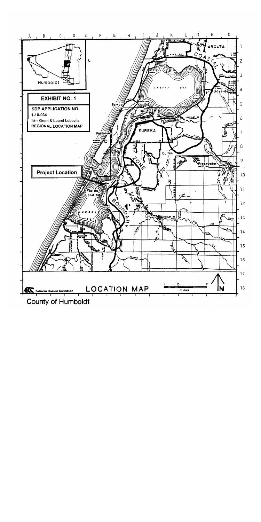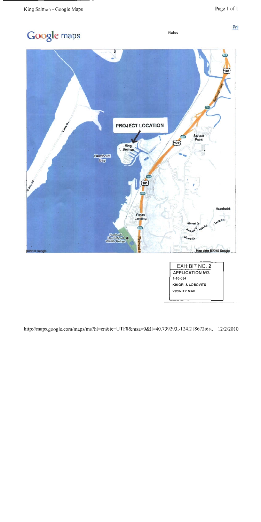Notes

Prit

# Google maps



| <b>EXHIBIT NO. 2</b>   |  |
|------------------------|--|
| <b>APPLICATION NO.</b> |  |
| $1 - 10 - 0.34$        |  |
| KINORI & LOBOVITS      |  |
| <b>VICINITY MAP</b>    |  |
|                        |  |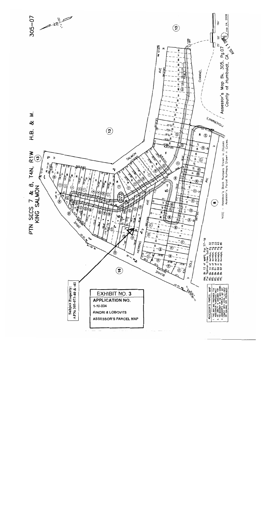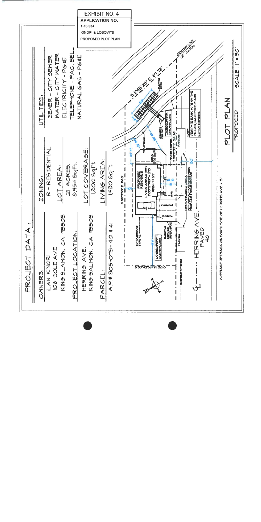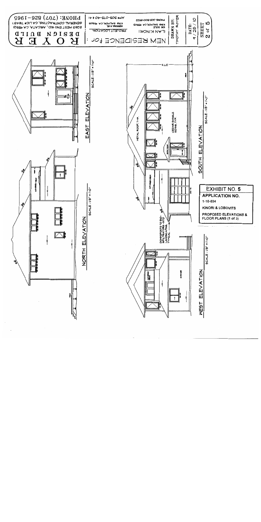![](_page_28_Figure_0.jpeg)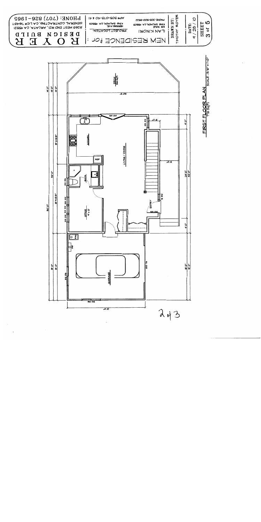![](_page_29_Figure_0.jpeg)

 $\overline{H}$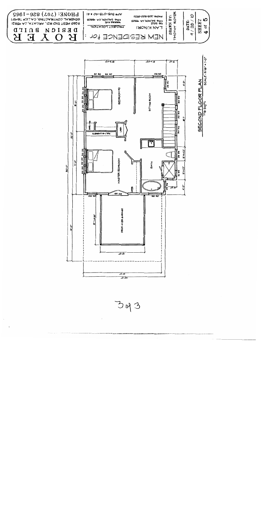![](_page_30_Figure_0.jpeg)

![](_page_30_Figure_1.jpeg)